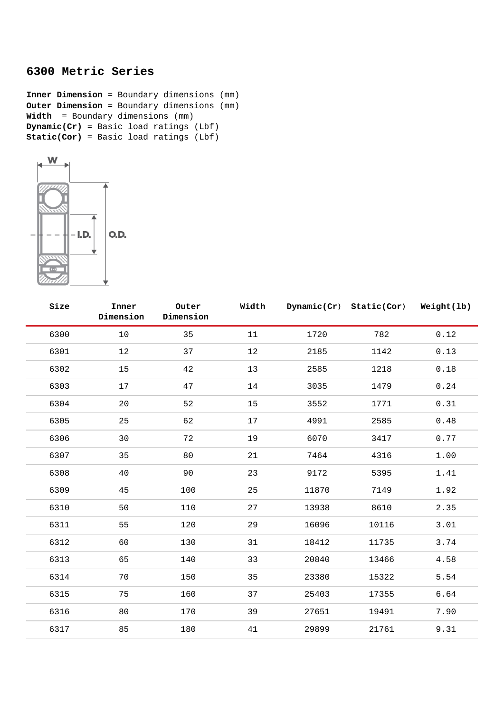## **6300 Metric Series**

**Inner Dimension** = Boundary dimensions (mm) **Outer Dimension** = Boundary dimensions (mm) **Width** = Boundary dimensions (mm) **Dynamic(Cr)** = Basic load ratings (Lbf) **Static(Cor)** = Basic load ratings (Lbf)



| Size | Inner<br>Dimension | Outer<br>Dimension | Width |       | Dynamic(Cr) Static(Cor) | Weight(lb) |
|------|--------------------|--------------------|-------|-------|-------------------------|------------|
| 6300 | $10$               | 35                 | 11    | 1720  | 782                     | 0.12       |
| 6301 | 12                 | 37                 | 12    | 2185  | 1142                    | 0.13       |
| 6302 | 15                 | 42                 | 13    | 2585  | 1218                    | 0.18       |
| 6303 | 17                 | 47                 | 14    | 3035  | 1479                    | 0.24       |
| 6304 | 20                 | 52                 | 15    | 3552  | 1771                    | 0.31       |
| 6305 | 25                 | 62                 | 17    | 4991  | 2585                    | 0.48       |
| 6306 | 30                 | 72                 | 19    | 6070  | 3417                    | 0.77       |
| 6307 | 35                 | 80                 | 21    | 7464  | 4316                    | 1.00       |
| 6308 | 40                 | 90                 | 23    | 9172  | 5395                    | 1.41       |
| 6309 | 45                 | 100                | 25    | 11870 | 7149                    | 1.92       |
| 6310 | 50                 | 110                | 27    | 13938 | 8610                    | 2.35       |
| 6311 | 55                 | 120                | 29    | 16096 | 10116                   | 3.01       |
| 6312 | 60                 | 130                | 31    | 18412 | 11735                   | 3.74       |
| 6313 | 65                 | 140                | 33    | 20840 | 13466                   | 4.58       |
| 6314 | 70                 | 150                | 35    | 23380 | 15322                   | 5.54       |
| 6315 | 75                 | 160                | 37    | 25403 | 17355                   | 6.64       |
| 6316 | 80                 | 170                | 39    | 27651 | 19491                   | 7.90       |
| 6317 | 85                 | 180                | 41    | 29899 | 21761                   | 9.31       |